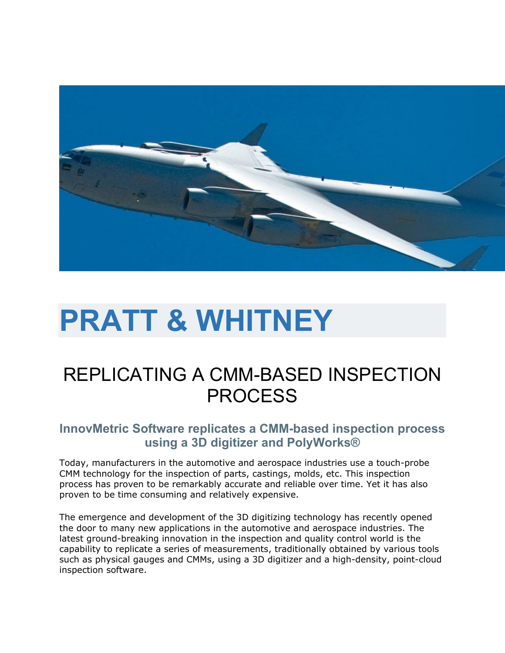

# **PRATT & WHITNEY**

## REPLICATING A CMM-BASED INSPECTION **PROCESS**

### **InnovMetric Software replicates a CMM-based inspection process using a 3D digitizer and PolyWorks®**

Today, manufacturers in the automotive and aerospace industries use a touch-probe CMM technology for the inspection of parts, castings, molds, etc. This inspection process has proven to be remarkably accurate and reliable over time. Yet it has also proven to be time consuming and relatively expensive.

The emergence and development of the 3D digitizing technology has recently opened the door to many new applications in the automotive and aerospace industries. The latest ground-breaking innovation in the inspection and quality control world is the capability to replicate a series of measurements, traditionally obtained by various tools such as physical gauges and CMMs, using a 3D digitizer and a high-density, point-cloud inspection software.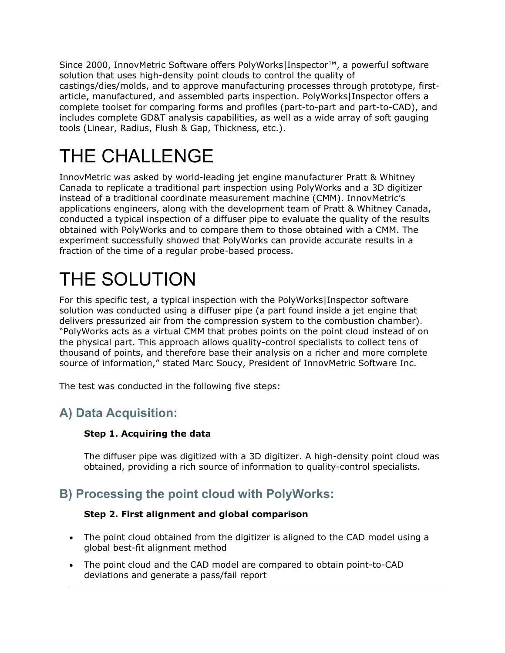Since 2000, InnovMetric Software offers PolyWorks|Inspector™, a powerful software solution that uses high-density point clouds to control the quality of castings/dies/molds, and to approve manufacturing processes through prototype, firstarticle, manufactured, and assembled parts inspection. PolyWorks|Inspector offers a complete toolset for comparing forms and profiles (part-to-part and part-to-CAD), and includes complete GD&T analysis capabilities, as well as a wide array of soft gauging tools (Linear, Radius, Flush & Gap, Thickness, etc.).

## THE CHALLENGE

InnovMetric was asked by world-leading jet engine manufacturer Pratt & Whitney Canada to replicate a traditional part inspection using PolyWorks and a 3D digitizer instead of a traditional coordinate measurement machine (CMM). InnovMetric's applications engineers, along with the development team of Pratt & Whitney Canada, conducted a typical inspection of a diffuser pipe to evaluate the quality of the results obtained with PolyWorks and to compare them to those obtained with a CMM. The experiment successfully showed that PolyWorks can provide accurate results in a fraction of the time of a regular probe-based process.

## THE SOLUTION

For this specific test, a typical inspection with the PolyWorks|Inspector software solution was conducted using a diffuser pipe (a part found inside a jet engine that delivers pressurized air from the compression system to the combustion chamber). "PolyWorks acts as a virtual CMM that probes points on the point cloud instead of on the physical part. This approach allows quality-control specialists to collect tens of thousand of points, and therefore base their analysis on a richer and more complete source of information," stated Marc Soucy, President of InnovMetric Software Inc.

The test was conducted in the following five steps:

## **A) Data Acquisition:**

#### **Step 1. Acquiring the data**

The diffuser pipe was digitized with a 3D digitizer. A high-density point cloud was obtained, providing a rich source of information to quality-control specialists.

### **B) Processing the point cloud with PolyWorks:**

#### **Step 2. First alignment and global comparison**

- The point cloud obtained from the digitizer is aligned to the CAD model using a global best-fit alignment method
- The point cloud and the CAD model are compared to obtain point-to-CAD deviations and generate a pass/fail report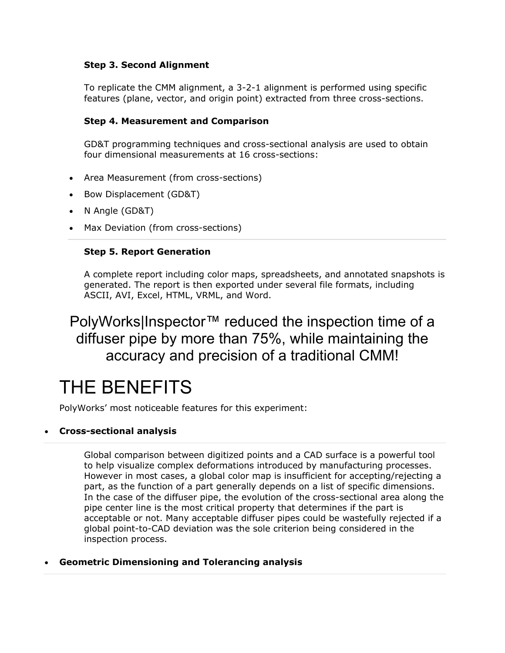#### **Step 3. Second Alignment**

To replicate the CMM alignment, a 3-2-1 alignment is performed using specific features (plane, vector, and origin point) extracted from three cross-sections.

#### **Step 4. Measurement and Comparison**

GD&T programming techniques and cross-sectional analysis are used to obtain four dimensional measurements at 16 cross-sections:

- Area Measurement (from cross-sections)
- Bow Displacement (GD&T)
- N Angle (GD&T)
- Max Deviation (from cross-sections)

#### **Step 5. Report Generation**

A complete report including color maps, spreadsheets, and annotated snapshots is generated. The report is then exported under several file formats, including ASCII, AVI, Excel, HTML, VRML, and Word.

## PolyWorks|Inspector™ reduced the inspection time of a diffuser pipe by more than 75%, while maintaining the accuracy and precision of a traditional CMM!

## THE BENEFITS

PolyWorks' most noticeable features for this experiment:

#### **Cross-sectional analysis**

Global comparison between digitized points and a CAD surface is a powerful tool to help visualize complex deformations introduced by manufacturing processes. However in most cases, a global color map is insufficient for accepting/rejecting a part, as the function of a part generally depends on a list of specific dimensions. In the case of the diffuser pipe, the evolution of the cross-sectional area along the pipe center line is the most critical property that determines if the part is acceptable or not. Many acceptable diffuser pipes could be wastefully rejected if a global point-to-CAD deviation was the sole criterion being considered in the inspection process.

#### **Geometric Dimensioning and Tolerancing analysis**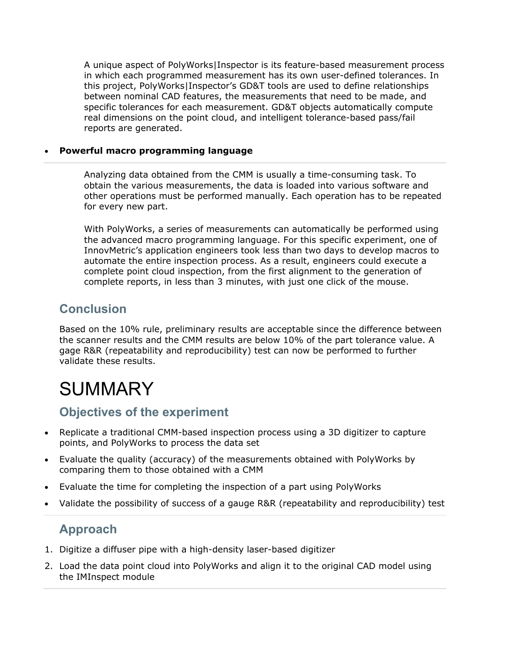A unique aspect of PolyWorks|Inspector is its feature-based measurement process in which each programmed measurement has its own user-defined tolerances. In this project, PolyWorks|Inspector's GD&T tools are used to define relationships between nominal CAD features, the measurements that need to be made, and specific tolerances for each measurement. GD&T objects automatically compute real dimensions on the point cloud, and intelligent tolerance-based pass/fail reports are generated.

#### **Powerful macro programming language**

Analyzing data obtained from the CMM is usually a time-consuming task. To obtain the various measurements, the data is loaded into various software and other operations must be performed manually. Each operation has to be repeated for every new part.

With PolyWorks, a series of measurements can automatically be performed using the advanced macro programming language. For this specific experiment, one of InnovMetric's application engineers took less than two days to develop macros to automate the entire inspection process. As a result, engineers could execute a complete point cloud inspection, from the first alignment to the generation of complete reports, in less than 3 minutes, with just one click of the mouse.

### **Conclusion**

Based on the 10% rule, preliminary results are acceptable since the difference between the scanner results and the CMM results are below 10% of the part tolerance value. A gage R&R (repeatability and reproducibility) test can now be performed to further validate these results.

## SUMMARY

### **Objectives of the experiment**

- Replicate a traditional CMM-based inspection process using a 3D digitizer to capture points, and PolyWorks to process the data set
- Evaluate the quality (accuracy) of the measurements obtained with PolyWorks by comparing them to those obtained with a CMM
- Evaluate the time for completing the inspection of a part using PolyWorks
- Validate the possibility of success of a gauge R&R (repeatability and reproducibility) test

### **Approach**

- 1. Digitize a diffuser pipe with a high-density laser-based digitizer
- 2. Load the data point cloud into PolyWorks and align it to the original CAD model using the IMInspect module